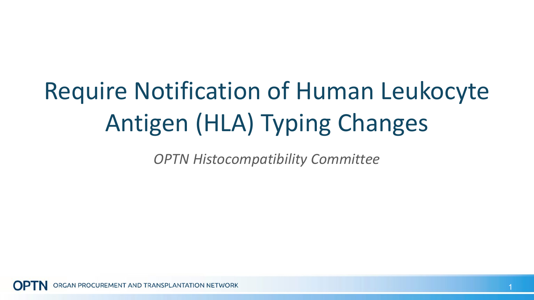# Require Notification of Human Leukocyte Antigen (HLA) Typing Changes

*OPTN Histocompatibility Committee*

GAN PROCUREMENT AND TRANSPLANTATION NETWORK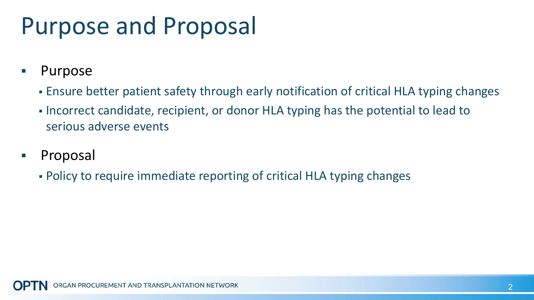### Purpose and Proposal

- **Purpose** 
	- Ensure better patient safety through early notification of critical HLA typing changes
	- Incorrect candidate, recipient, or donor HLA typing has the potential to lead to serious adverse events
- **Proposal** 
	- Policy to require immediate reporting of critical HLA typing changes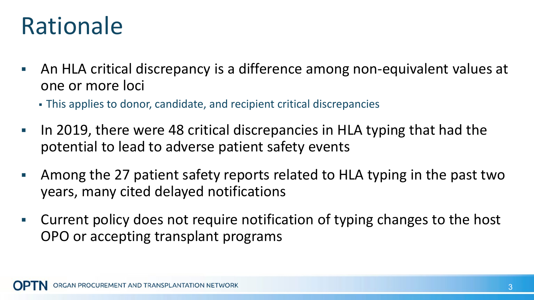#### Rationale

- An HLA critical discrepancy is a difference among non-equivalent values at one or more loci
	- This applies to donor, candidate, and recipient critical discrepancies
- If ln 2019, there were 48 critical discrepancies in HLA typing that had the potential to lead to adverse patient safety events
- Among the 27 patient safety reports related to HLA typing in the past two years, many cited delayed notifications
- Current policy does not require notification of typing changes to the host OPO or accepting transplant programs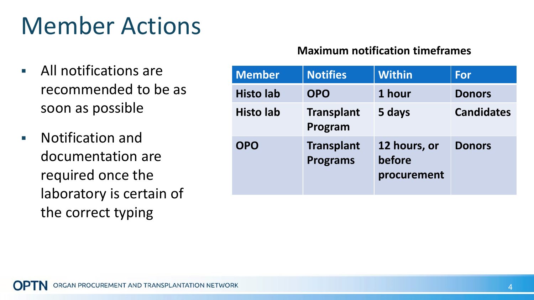# Member Actions

- All notifications are recommended to be as soon as possible
- Notification and documentation are required once the laboratory is certain of the correct typing

#### **Maximum notification timeframes**

| <b>Member</b>    | <b>Notifies</b>                      | <b>Within</b>                         | <b>For</b>        |
|------------------|--------------------------------------|---------------------------------------|-------------------|
| <b>Histo lab</b> | <b>OPO</b>                           | 1 hour                                | <b>Donors</b>     |
| <b>Histo lab</b> | <b>Transplant</b><br>Program         | 5 days                                | <b>Candidates</b> |
| <b>OPO</b>       | <b>Transplant</b><br><b>Programs</b> | 12 hours, or<br>before<br>procurement | <b>Donors</b>     |